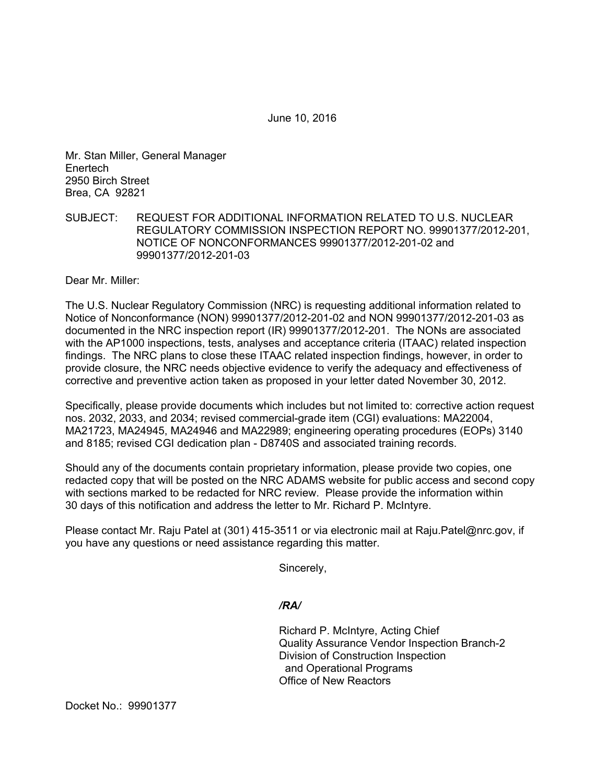June 10, 2016

Mr. Stan Miller, General Manager **Enertech** 2950 Birch Street Brea, CA 92821

## SUBJECT: REQUEST FOR ADDITIONAL INFORMATION RELATED TO U.S. NUCLEAR REGULATORY COMMISSION INSPECTION REPORT NO. 99901377/2012-201, NOTICE OF NONCONFORMANCES 99901377/2012-201-02 and 99901377/2012-201-03

Dear Mr. Miller:

The U.S. Nuclear Regulatory Commission (NRC) is requesting additional information related to Notice of Nonconformance (NON) 99901377/2012-201-02 and NON 99901377/2012-201-03 as documented in the NRC inspection report (IR) 99901377/2012-201. The NONs are associated with the AP1000 inspections, tests, analyses and acceptance criteria (ITAAC) related inspection findings. The NRC plans to close these ITAAC related inspection findings, however, in order to provide closure, the NRC needs objective evidence to verify the adequacy and effectiveness of corrective and preventive action taken as proposed in your letter dated November 30, 2012.

Specifically, please provide documents which includes but not limited to: corrective action request nos. 2032, 2033, and 2034; revised commercial-grade item (CGI) evaluations: MA22004, MA21723, MA24945, MA24946 and MA22989; engineering operating procedures (EOPs) 3140 and 8185; revised CGI dedication plan - D8740S and associated training records.

Should any of the documents contain proprietary information, please provide two copies, one redacted copy that will be posted on the NRC ADAMS website for public access and second copy with sections marked to be redacted for NRC review. Please provide the information within 30 days of this notification and address the letter to Mr. Richard P. McIntyre.

Please contact Mr. Raju Patel at (301) 415-3511 or via electronic mail at Raju.Patel@nrc.gov, if you have any questions or need assistance regarding this matter.

Sincerely,

*/RA/* 

Richard P. McIntyre, Acting Chief Quality Assurance Vendor Inspection Branch-2 Division of Construction Inspection and Operational Programs Office of New Reactors

Docket No.: 99901377